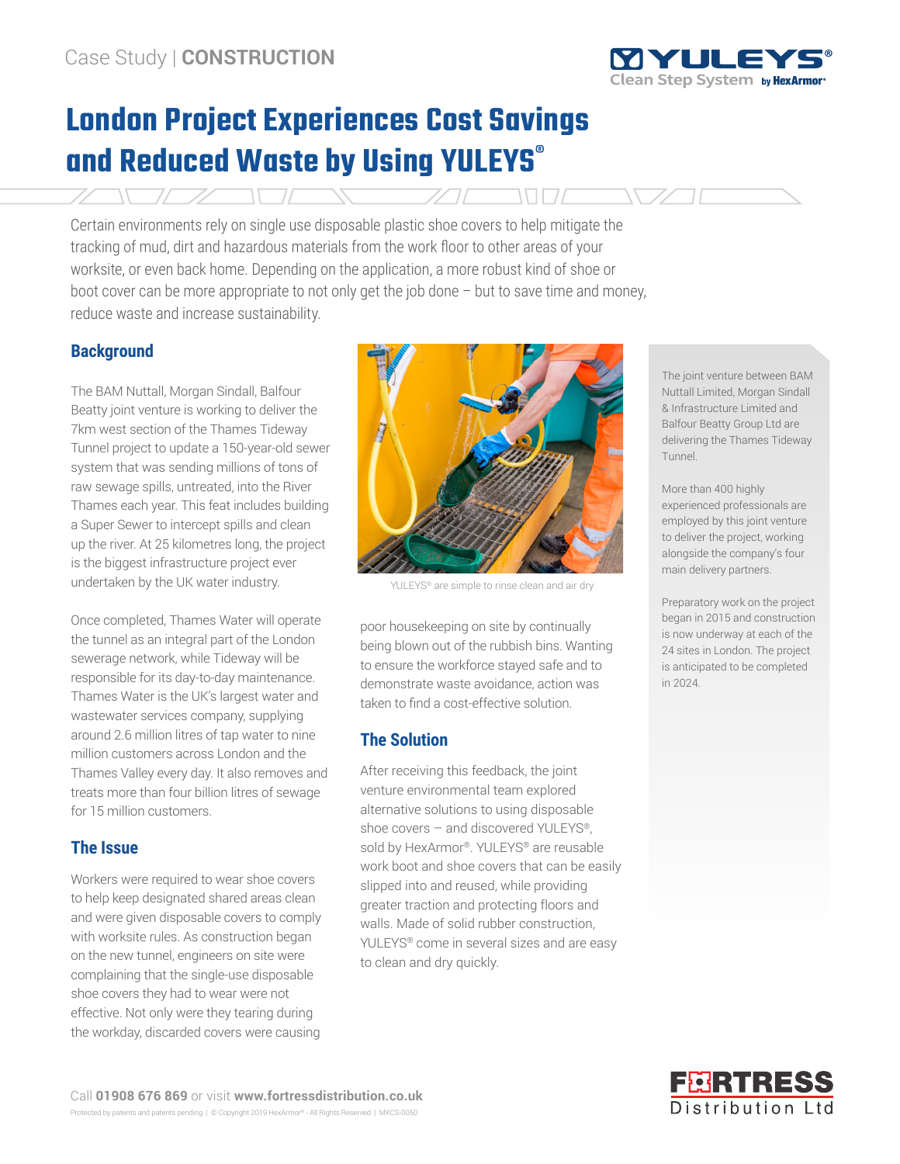

# **London Project Experiences Cost Savings and Reduced Waste by Using YULEYS®**

Certain environments rely on single use disposable plastic shoe covers to help mitigate the tracking of mud, dirt and hazardous materials from the work floor to other areas of your worksite, or even back home. Depending on the application, a more robust kind of shoe or boot cover can be more appropriate to not only get the job done – but to save time and money, reduce waste and increase sustainability.

## **Background**

The BAM Nuttall, Morgan Sindall, Balfour Beatty joint venture is working to deliver the 7km west section of the Thames Tideway Tunnel project to update a 150-year-old sewer system that was sending millions of tons of raw sewage spills, untreated, into the River Thames each year. This feat includes building a Super Sewer to intercept spills and clean up the river. At 25 kilometres long, the project is the biggest infrastructure project ever undertaken by the UK water industry.

Once completed, Thames Water will operate the tunnel as an integral part of the London sewerage network, while Tideway will be responsible for its day-to-day maintenance. Thames Water is the UK's largest water and wastewater services company, supplying around 2.6 million litres of tap water to nine million customers across London and the Thames Valley every day. It also removes and treats more than four billion litres of sewage for 15 million customers.

# **The Issue**

Workers were required to wear shoe covers to help keep designated shared areas clean and were given disposable covers to comply with worksite rules. As construction began on the new tunnel, engineers on site were complaining that the single-use disposable shoe covers they had to wear were not effective. Not only were they tearing during the workday, discarded covers were causing



YULEYS® are simple to rinse clean and air dry

poor housekeeping on site by continually being blown out of the rubbish bins. Wanting to ensure the workforce stayed safe and to demonstrate waste avoidance, action was taken to find a cost-effective solution.

## **The Solution**

After receiving this feedback, the joint venture environmental team explored alternative solutions to using disposable shoe covers – and discovered YULEYS®, sold by HexArmor®. YULEYS® are reusable work boot and shoe covers that can be easily slipped into and reused, while providing greater traction and protecting floors and walls. Made of solid rubber construction, YULEYS® come in several sizes and are easy to clean and dry quickly.

The joint venture between BAM Nuttall Limited, Morgan Sindall & Infrastructure Limited and Balfour Beatty Group Ltd are delivering the Thames Tideway Tunnel.

More than 400 highly experienced professionals are employed by this joint venture to deliver the project, working alongside the company's four main delivery partners.

Preparatory work on the project began in 2015 and construction is now underway at each of the 24 sites in London. The project is anticipated to be completed in 2024.